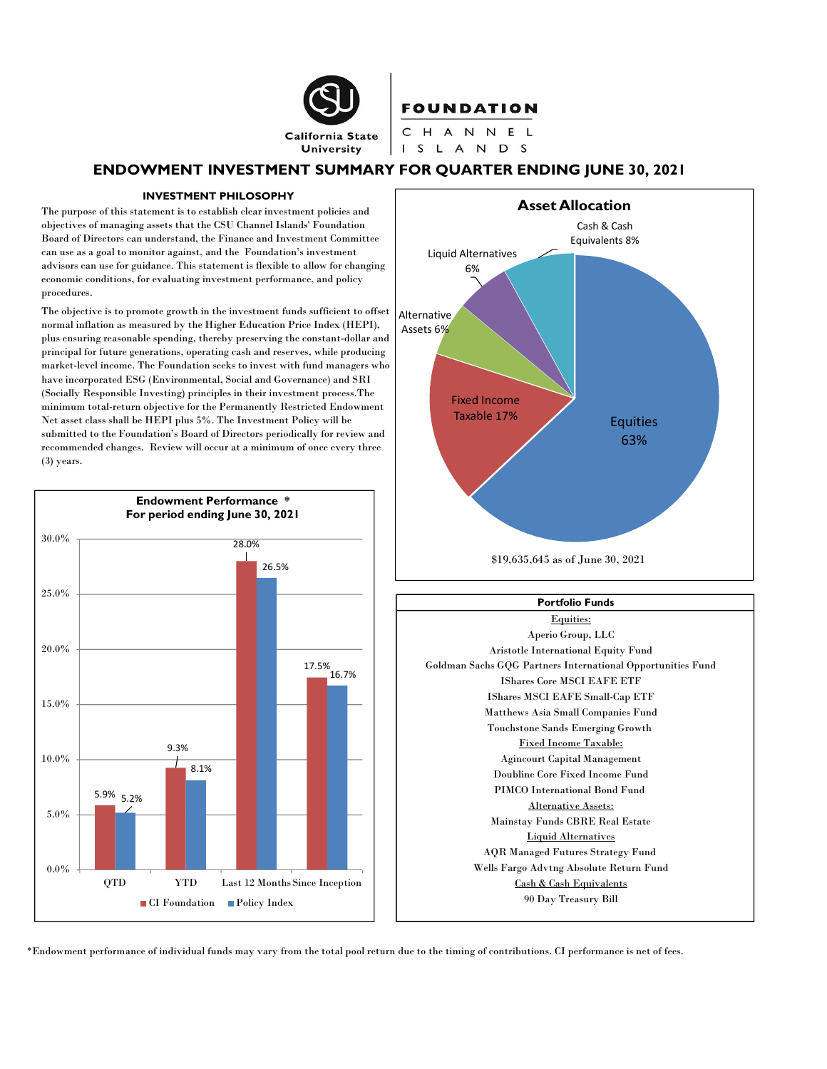

## **FOUNDATION**

CHANNEL I S L A N D S

## ENDOWMENT INVESTMENT SUMMARY FOR QUARTER ENDING JUNE 30, 2021

#### INVESTMENT PHILOSOPHY

The purpose of this statement is to establish clear investment policies and objectives of managing assets that the CSU Channel Islands' Foundation Board of Directors can understand, the Finance and Investment Committee can use as a goal to monitor against, and the Foundation's investment advisors can use for guidance. This statement is flexible to allow for changing economic conditions, for evaluating investment performance, and policy procedures.

The objective is to promote growth in the investment funds sufficient to offset normal inflation as measured by the Higher Education Price Index (HEPI), plus ensuring reasonable spending, thereby preserving the constant-dollar and principal for future generations, operating cash and reserves, while producing market-level income. The Foundation seeks to invest with fund managers who have incorporated ESG (Environmental, Social and Governance) and SRI (Socially Responsible Investing) principles in their investment process.The minimum total-return objective for the Permanently Restricted Endowment Net asset class shall be HEPI plus 5%. The Investment Policy will be submitted to the Foundation's Board of Directors periodically for review and recommended changes. Review will occur at a minimum of once every three (3) years.





#### Portfolio Funds



\*Endowment performance of individual funds may vary from the total pool return due to the timing of contributions. CI performance is net of fees.